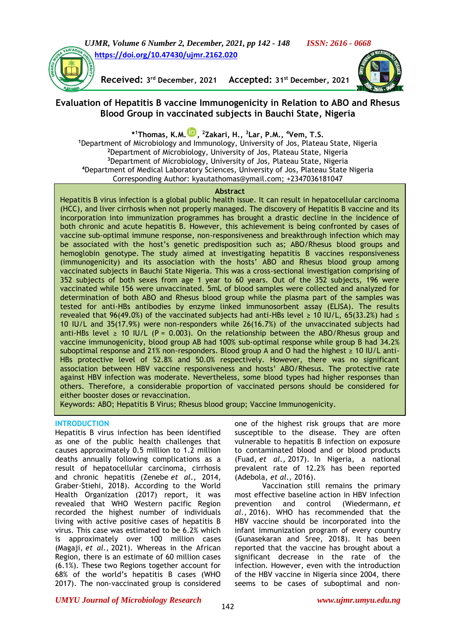



**Received: 3 rd December, 2021 Accepted: 31**

Accepted: 31<sup>st</sup> December, 2021



# **Evaluation of Hepatitis B vaccine Immunogenicity in Relation to ABO and Rhesus Blood Group in vaccinated subjects in Bauchi State, Nigeria**

**\* <sup>1</sup>Thomas, K.M. [,](https://orcid.org/0000-0001-7722-4158) <sup>2</sup>Zakari, H., <sup>3</sup>Lar, P.M., <sup>4</sup>Vem, T.S.**

Department of Microbiology and Immunology, University of Jos, Plateau State, Nigeria Department of Microbiology, University of Jos, Plateau State, Nigeria Department of Microbiology, University of Jos, Plateau State, Nigeria Department of Medical Laboratory Sciences, University of Jos, Plateau State Nigeria Corresponding Author: [kyautathomas@ymail.com;](mailto:kyautathomas@ymail.com) +2347036181047

#### **Abstract**

Hepatitis B virus infection is a global public health issue. It can result in hepatocellular carcinoma (HCC), and liver cirrhosis when not properly managed. The discovery of Hepatitis B vaccine and its incorporation into immunization programmes has brought a drastic decline in the incidence of both chronic and acute hepatitis B. However, this achievement is being confronted by cases of vaccine sub-optimal immune response, non-responsiveness and breakthrough infection which may be associated with the host's genetic predisposition such as; ABO/Rhesus blood groups and hemoglobin genotype. The study aimed at investigating hepatitis B vaccines responsiveness (immunogenicity) and its association with the hosts' ABO and Rhesus blood group among vaccinated subjects in Bauchi State Nigeria. This was a cross-sectional investigation comprising of 352 subjects of both sexes from age 1 year to 60 years. Out of the 352 subjects, 196 were vaccinated while 156 were unvaccinated. 5mL of blood samples were collected and analyzed for determination of both ABO and Rhesus blood group while the plasma part of the samples was tested for anti-HBs antibodies by enzyme linked immunosorbent assay (ELISA). The results revealed that 96(49.0%) of the vaccinated subjects had anti-HBs level  $\geq$  10 IU/L, 65(33.2%) had  $\leq$ 10 IU/L and 35(17.9%) were non-responders while 26(16.7%) of the unvaccinated subjects had anti-HBs level  $\geq$  10 IU/L (P = 0.003). On the relationship between the ABO/Rhesus group and vaccine immunogenicity, blood group AB had 100% sub-optimal response while group B had 34.2% suboptimal response and 21% non-responders. Blood group A and O had the highest  $\geq 10$  IU/L anti-HBs protective level of 52.8% and 50.0% respectively. However, there was no significant association between HBV vaccine responsiveness and hosts' ABO/Rhesus. The protective rate against HBV infection was moderate. Nevertheless, some blood types had higher responses than others. Therefore, a considerable proportion of vaccinated persons should be considered for either booster doses or revaccination.

Keywords: ABO; Hepatitis B Virus; Rhesus blood group; Vaccine Immunogenicity.

#### **INTRODUCTION**

Hepatitis B virus infection has been identified as one of the public health challenges that causes approximately 0.5 million to 1.2 million deaths annually following complications as a result of hepatocellular carcinoma, cirrhosis and chronic hepatitis (Zenebe *et al*., 2014, Graber-Stiehi, 2018). According to the World Health Organization (2017) report, it was revealed that WHO Western pacific Region recorded the highest number of individuals living with active positive cases of hepatitis B virus. This case was estimated to be 6.2% which is approximately over 100 million cases (Magaji, *et al.,* 2021). Whereas in the African Region, there is an estimate of 60 million cases (6.1%). These two Regions together account for 68% of the world's hepatitis B cases (WHO 2017). The non-vaccinated group is considered one of the highest risk groups that are more susceptible to the disease. They are often vulnerable to hepatitis B infection on exposure to contaminated blood and or blood products (Fuad, *et al.,* 2017). In Nigeria, a national prevalent rate of 12.2% has been reported (Adebola*, et al.,* 2016).

Vaccination still remains the primary most effective baseline action in HBV infection prevention and control (Wiedermann, *et al.,* 2016). WHO has recommended that the HBV vaccine should be incorporated into the infant immunization program of every country (Gunasekaran and Sree, 2018). It has been reported that the vaccine has brought about a significant decrease in the rate of the infection. However, even with the introduction of the HBV vaccine in Nigeria since 2004, there seems to be cases of suboptimal and non-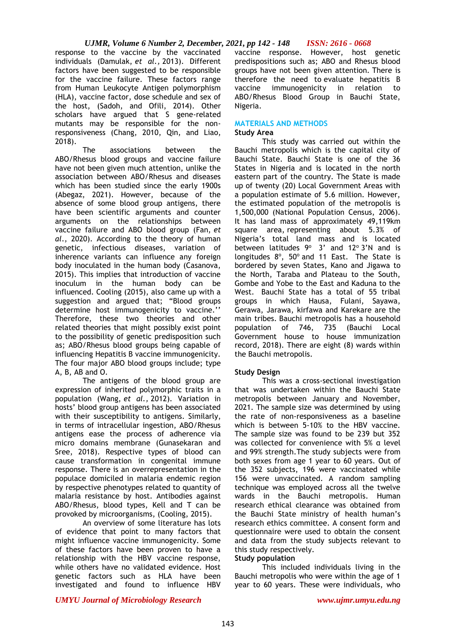response to the vaccine by the vaccinated individuals (Damulak, *et al.,* 2013). Different factors have been suggested to be responsible for the vaccine failure. These factors range from Human Leukocyte Antigen polymorphism (HLA), vaccine factor, dose schedule and sex of the host, (Sadoh, and Ofili, 2014). Other scholars have argued that S gene-related mutants may be responsible for the nonresponsiveness (Chang, 2010, Qin, and Liao, 2018).

The associations between the ABO/Rhesus blood groups and vaccine failure have not been given much attention, unlike the association between ABO/Rhesus and diseases which has been studied since the early 1900s (Abegaz, 2021). However, because of the absence of some blood group antigens, there have been scientific arguments and counter arguments on the relationships between vaccine failure and ABO blood group (Fan, *et al*., 2020). According to the theory of human genetic, infectious diseases, variation of inherence variants can influence any foreign body inoculated in the human body (Casanova, 2015). This implies that introduction of vaccine inoculum in the human body can be influenced. Cooling (2015), also came up with a suggestion and argued that; "Blood groups determine host immunogenicity to vaccine.'' Therefore, these two theories and other related theories that might possibly exist point to the possibility of genetic predisposition such as; ABO/Rhesus blood groups being capable of influencing Hepatitis B vaccine immunogenicity. The four major ABO blood groups include; type A, B, AB and O.

The antigens of the blood group are expression of inherited polymorphic traits in a population (Wang, *et al.,* 2012). Variation in hosts' blood group antigens has been associated with their susceptibility to antigens. Similarly, in terms of intracellular ingestion, ABO/Rhesus antigens ease the process of adherence via micro domains membrane (Gunasekaran and Sree, 2018). Respective types of blood can cause transformation in congenital immune response. There is an overrepresentation in the populace domiciled in malaria endemic region by respective phenotypes related to quantity of malaria resistance by host. Antibodies against ABO/Rhesus, blood types, Kell and T can be provoked by microorganisms, (Cooling, 2015).

An overview of some literature has lots of evidence that point to many factors that might influence vaccine immunogenicity. Some of these factors have been proven to have a relationship with the HBV vaccine response, while others have no validated evidence. Host genetic factors such as HLA have been investigated and found to influence HBV

vaccine response. However, host genetic predispositions such as; ABO and Rhesus blood groups have not been given attention. There is therefore the need to evaluate hepatitis B vaccine immunogenicity in relation to ABO/Rhesus Blood Group in Bauchi State, Nigeria.

#### **MATERIALS AND METHODS Study Area**

This study was carried out within the Bauchi metropolis which is the capital city of Bauchi State. Bauchi State is one of the 36 States in Nigeria and is located in the north eastern part of the country. The State is made up of twenty (20) Local Government Areas with a population estimate of 5.6 million. However, the estimated population of the metropolis is 1,500,000 (National Population Census, 2006). It has land mass of approximately 49,119km square area, representing about 5.3% of Nigeria's total land mass and is located between latitudes  $9^{\circ}$  3' and 12° 3'N and is longitudes  $8^\circ$ , 50 $^\circ$  and 11 East. The State is bordered by seven States, Kano and Jigawa to the North, Taraba and Plateau to the South, Gombe and Yobe to the East and Kaduna to the West. Bauchi State has a total of 55 tribal groups in which Hausa, Fulani, Sayawa, Gerawa, Jarawa, kirfawa and Karekare are the main tribes. Bauchi metropolis has a household population of 746, 735 (Bauchi Local Government house to house immunization record, 2018). There are eight (8) wards within the Bauchi metropolis.

# **Study Design**

This was a cross-sectional investigation that was undertaken within the Bauchi State metropolis between January and November, 2021. The sample size was determined by using the rate of non-responsiveness as a baseline which is between 5-10% to the HBV vaccine. The sample size was found to be 239 but 352 was collected for convenience with 5% α level and 99% strength.The study subjects were from both sexes from age 1 year to 60 years. Out of the 352 subjects, 196 were vaccinated while 156 were unvaccinated. A random sampling technique was employed across all the twelve wards in the Bauchi metropolis. Human research ethical clearance was obtained from the Bauchi State ministry of health human's research ethics committee. A consent form and questionnaire were used to obtain the consent and data from the study subjects relevant to this study respectively.

#### **Study population**

This included individuals living in the Bauchi metropolis who were within the age of 1 year to 60 years. These were individuals, who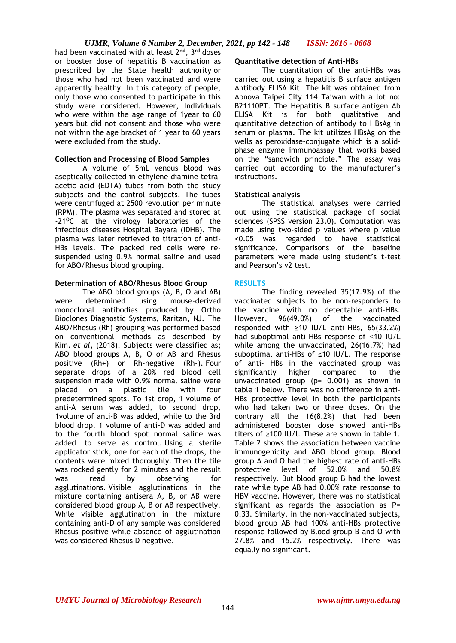had been vaccinated with at least 2**nd**, 3**rd** doses or booster dose of hepatitis B vaccination as prescribed by the State health authority or those who had not been vaccinated and were apparently healthy. In this category of people, only those who consented to participate in this study were considered. However, Individuals who were within the age range of 1year to 60 years but did not consent and those who were not within the age bracket of 1 year to 60 years were excluded from the study.

### **Collection and Processing of Blood Samples**

A volume of 5mL venous blood was aseptically collected in ethylene diamine tetraacetic acid (EDTA) tubes from both the study subjects and the control subjects. The tubes were centrifuged at 2500 revolution per minute (RPM). The plasma was separated and stored at -21**<sup>O</sup>**C at the virology laboratories of the infectious diseases Hospital Bayara (IDHB). The plasma was later retrieved to titration of anti-HBs levels. The packed red cells were resuspended using 0.9% normal saline and used for ABO/Rhesus blood grouping.

### **Determination of ABO/Rhesus Blood Group**

The ABO blood groups (A, B, O and AB) were determined using mouse-derived monoclonal antibodies produced by Ortho Bioclones Diagnostic Systems, Raritan, NJ. The ABO/Rhesus (Rh) grouping was performed based on conventional methods as described by Kim. *et al*, (2018). Subjects were classified as; ABO blood groups A, B, O or AB and Rhesus positive (Rh+) or Rh-negative (Rh-). Four separate drops of a 20% red blood cell suspension made with 0.9% normal saline were placed on a plastic tile with four predetermined spots. To 1st drop, 1 volume of anti-A serum was added, to second drop, 1volume of anti-B was added, while to the 3rd blood drop, 1 volume of anti-D was added and to the fourth blood spot normal saline was added to serve as control. Using a sterile applicator stick, one for each of the drops, the contents were mixed thoroughly. Then the tile was rocked gently for 2 minutes and the result was read by observing for agglutinations. Visible agglutinations in the mixture containing antisera A, B, or AB were considered blood group A, B or AB respectively. While visible agglutination in the mixture containing anti-D of any sample was considered Rhesus positive while absence of agglutination was considered Rhesus D negative.

# **Quantitative detection of Anti-HBs**

The quantitation of the anti-HBs was carried out using a hepatitis B surface antigen Antibody ELISA Kit. The kit was obtained from Abnova Taipei City 114 Taiwan with a lot no: B21110PT. The Hepatitis B surface antigen Ab ELISA Kit is for both qualitative and quantitative detection of antibody to HBsAg in serum or plasma. The kit utilizes HBsAg on the wells as peroxidase-conjugate which is a solidphase enzyme immunoassay that works based on the "sandwich principle." The assay was carried out according to the manufacturer's instructions.

### **Statistical analysis**

The statistical analyses were carried out using the statistical package of social sciences (SPSS version 23.0). Computation was made using two-sided p values where p value <0.05 was regarded to have statistical significance. Comparisons of the baseline parameters were made using student's t-test and Pearson's v2 test.

# **RESULTS**

The finding revealed 35(17.9%) of the vaccinated subjects to be non-responders to the vaccine with no detectable anti-HBs. However, 96(49.0%) of the vaccinated responded with  $≥10$  IU/L anti-HBs, 65(33.2%) had suboptimal anti-HBs response of ˂10 IU/L while among the unvaccinated, 26(16.7%) had suboptimal anti-HBs of ≤10 IU/L. The response of anti- HBs in the vaccinated group was<br>significantly higher compared to the significantly higher compared to the unvaccinated group ( $p= 0.001$ ) as shown in table 1 below. There was no difference in anti-HBs protective level in both the participants who had taken two or three doses. On the contrary all the 16(8.2%) that had been administered booster dose showed anti-HBs titers of ≥100 IU/l. These are shown in table 1. Table 2 shows the association between vaccine immunogenicity and ABO blood group. Blood group A and O had the highest rate of anti-HBs protective level of 52.0% and 50.8% respectively. But blood group B had the lowest rate while type AB had 0.00% rate response to HBV vaccine. However, there was no statistical significant as regards the association as P= 0.33. Similarly, in the non-vaccinated subjects, blood group AB had 100% anti-HBs protective response followed by Blood group B and O with 27.8% and 15.2% respectively. There was equally no significant.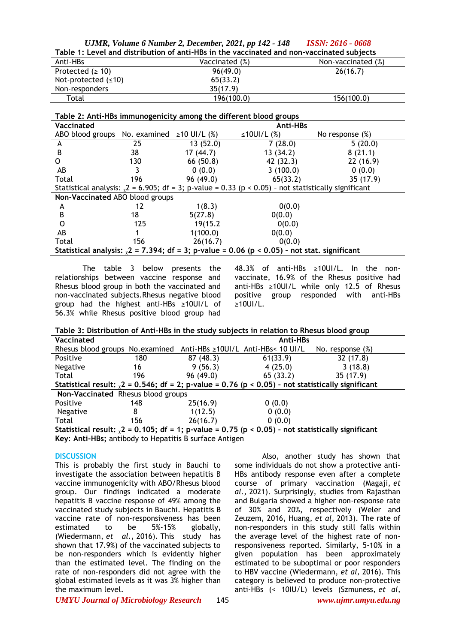|                                                                                           | UJMR, Volume 6 Number 2, December, 2021, pp 142 - 148 ISSN: 2616 - 0668 |                    |  |  |  |  |
|-------------------------------------------------------------------------------------------|-------------------------------------------------------------------------|--------------------|--|--|--|--|
| Table 1: Level and distribution of anti-HBs in the vaccinated and non-vaccinated subjects |                                                                         |                    |  |  |  |  |
| Anti-HBs                                                                                  | Vaccinated (%)                                                          | Non-vaccinated (%) |  |  |  |  |
| Protected $(2 10)$                                                                        | 96(49.0)                                                                | 26(16.7)           |  |  |  |  |
| Not-protected $(≤10)$                                                                     | 65(33.2)                                                                |                    |  |  |  |  |
| Non-responders                                                                            | 35(17.9)                                                                |                    |  |  |  |  |
| Total                                                                                     | 196(100.0)                                                              | 156(100.0)         |  |  |  |  |

**Table 2: Anti-HBs immunogenicity among the different blood groups**

| Table 2. Anti-HBS immunogenicity among the different blood groups                                           |     |           |                   |                    |  |  |
|-------------------------------------------------------------------------------------------------------------|-----|-----------|-------------------|--------------------|--|--|
| Vaccinated                                                                                                  |     | Anti-HBs  |                   |                    |  |  |
| ABO blood groups No. examined $\geq 10$ UI/L (%)                                                            |     |           | $\leq$ 10UI/L (%) | No response $(\%)$ |  |  |
| A                                                                                                           | 25  | 13(52.0)  | 7(28.0)           | 5(20.0)            |  |  |
| B                                                                                                           | 38  | 17(44.7)  | 13(34.2)          | 8(21.1)            |  |  |
| O                                                                                                           | 130 | 66 (50.8) | 42 (32.3)         | 22(16.9)           |  |  |
| AB                                                                                                          |     | 0(0.0)    | 3(100.0)          | 0(0.0)             |  |  |
| Total                                                                                                       | 196 | 96(49.0)  | 65(33.2)          | 35(17.9)           |  |  |
| Statistical analysis: $\sqrt{2}$ = 6.905; df = 3; p-value = 0.33 (p < 0.05) - not statistically significant |     |           |                   |                    |  |  |
| Non-Vaccinated ABO blood groups                                                                             |     |           |                   |                    |  |  |
| A                                                                                                           | 12  | 1(8.3)    | 0(0.0)            |                    |  |  |
| B                                                                                                           | 18  | 5(27.8)   | 0(0.0)            |                    |  |  |
| O                                                                                                           | 125 | 19(15.2)  | 0(0.0)            |                    |  |  |
| AB                                                                                                          |     | 1(100.0)  | 0(0.0)            |                    |  |  |
| Total                                                                                                       | 156 | 26(16.7)  | 0(0.0)            |                    |  |  |
| Statistical analysis: $\sqrt{2}$ = 7.394; df = 3; p-value = 0.06 (p < 0.05) - not stat. significant         |     |           |                   |                    |  |  |

The table 3 below presents the relationships between vaccine response and Rhesus blood group in both the vaccinated and non-vaccinated subjects.Rhesus negative blood group had the highest anti-HBs ≥10UI/L of 56.3% while Rhesus positive blood group had 48.3% of anti-HBs ≥10UI/L. In the nonvaccinate, 16.9% of the Rhesus positive had anti-HBs ≥10UI/L while only 12.5 of Rhesus positive group responded with anti-HBs ≥10UI/L.

**Table 3: Distribution of Anti-HBs in the study subjects in relation to Rhesus blood group**

| Vaccinated                                                                                              |     | Anti-HBs |          |                     |  |  |
|---------------------------------------------------------------------------------------------------------|-----|----------|----------|---------------------|--|--|
| Rhesus blood groups No.examined Anti-HBs ≥10UI/L Anti-HBs< 10 UI/L                                      |     |          |          | No. response $(\%)$ |  |  |
| Positive                                                                                                | 180 | 87(48.3) | 61(33.9) | 32(17.8)            |  |  |
| Negative                                                                                                | 16  | 9(56.3)  | 4(25.0)  | 3(18.8)             |  |  |
| Total                                                                                                   | 196 | 96(49.0) | 65(33.2) | 35(17.9)            |  |  |
| Statistical result: $\chi$ 2 = 0.546; df = 2; p-value = 0.76 (p < 0.05) - not statistically significant |     |          |          |                     |  |  |
| Non-Vaccinated Rhesus blood groups                                                                      |     |          |          |                     |  |  |
| Positive                                                                                                | 148 | 25(16.9) | 0(0.0)   |                     |  |  |
| Negative                                                                                                | 8   | 1(12.5)  | 0(0.0)   |                     |  |  |
| Total                                                                                                   | 156 | 26(16.7) | 0(0.0)   |                     |  |  |
| Statistical result: $\chi$ 2 = 0.105; df = 1; p-value = 0.75 (p < 0.05) - not statistically significant |     |          |          |                     |  |  |

**Key**: **Anti-HBs;** antibody to Hepatitis B surface Antigen

#### **DISCUSSION**

This is probably the first study in Bauchi to investigate the association between hepatitis B vaccine immunogenicity with ABO/Rhesus blood group. Our findings indicated a moderate hepatitis B vaccine response of 49% among the vaccinated study subjects in Bauchi. Hepatitis B vaccine rate of non-responsiveness has been estimated to be 5%-15% globally, (Wiedermann, *et al.,* 2016). This study has shown that 17.9%) of the vaccinated subjects to be non-responders which is evidently higher than the estimated level. The finding on the rate of non-responders did not agree with the global estimated levels as it was 3% higher than the maximum level.

Also, another study has shown that some individuals do not show a protective anti-HBs antibody response even after a complete course of primary vaccination (Magaji, *et al.,* 2021). Surprisingly, studies from Rajasthan and Bulgaria showed a higher non-response rate of 30% and 20%, respectively (Weler and Zeuzem, 2016, Huang, *et al,* 2013). The rate of non-responders in this study still falls within the average level of the highest rate of nonresponsiveness reported. Similarly, 5-10% in a given population has been approximately estimated to be suboptimal or poor responders to HBV vaccine (Wiedermann, *et al,* 2016). This category is believed to produce non-protective anti-HBs (< 10IU/L) levels (Szmuness, *et al*,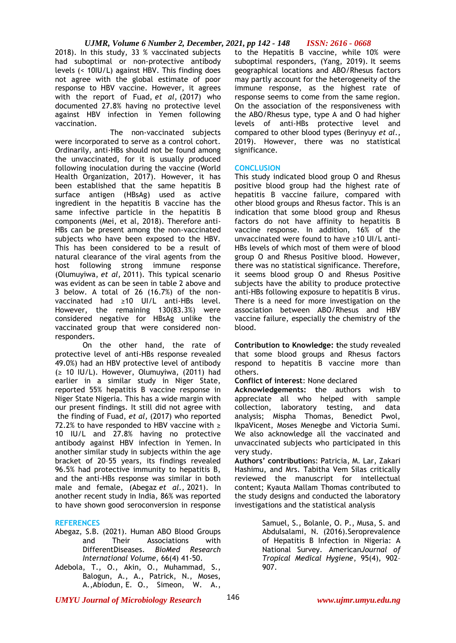2018). In this study, 33 % vaccinated subjects had suboptimal or non-protective antibody levels (< 10IU/L) against HBV. This finding does not agree with the global estimate of poor response to HBV vaccine. However, it agrees with the report of Fuad, *et al,* (2017) who documented 27.8% having no protective level against HBV infection in Yemen following vaccination.

The non-vaccinated subjects were incorporated to serve as a control cohort. Ordinarily, anti-HBs should not be found among the unvaccinated, for it is usually produced following inoculation during the vaccine (World Health Organization, 2017). However, it has been established that the same hepatitis B surface antigen (HBsAg) used as active ingredient in the hepatitis B vaccine has the same infective particle in the hepatitis B components (Mei, et al, 2018). Therefore anti-HBs can be present among the non-vaccinated subjects who have been exposed to the HBV. This has been considered to be a result of natural clearance of the viral agents from the host following strong immune response (Olumuyiwa, *et al,* 2011). This typical scenario was evident as can be seen in table 2 above and 3 below. A total of 26 (16.7%) of the nonvaccinated had ≥10 UI/L anti-HBs level. However, the remaining 130(83.3%) were considered negative for HBsAg unlike the vaccinated group that were considered nonresponders.

On the other hand, the rate of protective level of anti-HBs response revealed 49.0%) had an HBV protective level of antibody (≥ 10 IU/L). However, Olumuyiwa, (2011) had earlier in a similar study in Niger State, reported 55% hepatitis B vaccine response in Niger State Nigeria. This has a wide margin with our present findings. It still did not agree with the finding of Fuad, *et al,* (2017) who reported 72.2% to have responded to HBV vaccine with  $\geq$ 10 IU/L and 27.8% having no protective antibody against HBV infection in Yemen. In another similar study in subjects within the age bracket of 20–55 years, its findings revealed 96.5% had protective immunity to hepatitis B, and the anti-HBs response was similar in both male and female, (Abegaz *et al.,* 2021). In another recent study in India, 86% was reported to have shown good seroconversion in response

# **REFERENCES**

- Abegaz, S.B. (2021). Human ABO Blood Groups and Their Associations with DifferentDiseases. *BioMed Research International Volume*, 66(4) 41-50.
- Adebola, T., O., Akin, O., Muhammad, S., Balogun, A., A., Patrick, N., Moses, A.,Abiodun, E. O., Simeon, W. A.,

to the Hepatitis B vaccine, while 10% were suboptimal responders, (Yang, 2019). It seems geographical locations and ABO/Rhesus factors may partly account for the heterogeneity of the immune response, as the highest rate of response seems to come from the same region. On the association of the responsiveness with the ABO/Rhesus type, type A and O had higher levels of anti-HBs protective level and compared to other blood types (Berinyuy *et al*., 2019). However, there was no statistical significance.

### **CONCLUSION**

This study indicated blood group O and Rhesus positive blood group had the highest rate of hepatitis B vaccine failure, compared with other blood groups and Rhesus factor. This is an indication that some blood group and Rhesus factors do not have affinity to hepatitis B vaccine response. In addition, 16% of the unvaccinated were found to have ≥10 UI/L anti-HBs levels of which most of them were of blood group O and Rhesus Positive blood. However, there was no statistical significance. Therefore, it seems blood group O and Rhesus Positive subjects have the ability to produce protective anti-HBs following exposure to hepatitis B virus. There is a need for more investigation on the association between ABO/Rhesus and HBV vaccine failure, especially the chemistry of the blood.

**Contribution to Knowledge: t**he study revealed that some blood groups and Rhesus factors respond to hepatitis B vaccine more than others.

**Conflict of interest**: None declared

**Acknowledgements: t**he authors wish to appreciate all who helped with sample collection, laboratory testing, and data analysis; Mispha Thomas, Benedict Pwol, IkpaVicent, Moses Menegbe and Victoria Sumi. We also acknowledge all the vaccinated and unvaccinated subjects who participated in this very study.

**Authors' contribution**s: Patricia, M. Lar, Zakari Hashimu, and Mrs. Tabitha Vem Silas critically reviewed the manuscript for intellectual content; Kyauta Mallam Thomas contributed to the study designs and conducted the laboratory investigations and the statistical analysis

> Samuel, S., Bolanle, O. P., Musa, S. and Abdulsalami, N. (2016).Seroprevalence of Hepatitis B Infection in Nigeria: A National Survey. American*Journal of Tropical Medical Hygiene*, 95(4), 902– 907.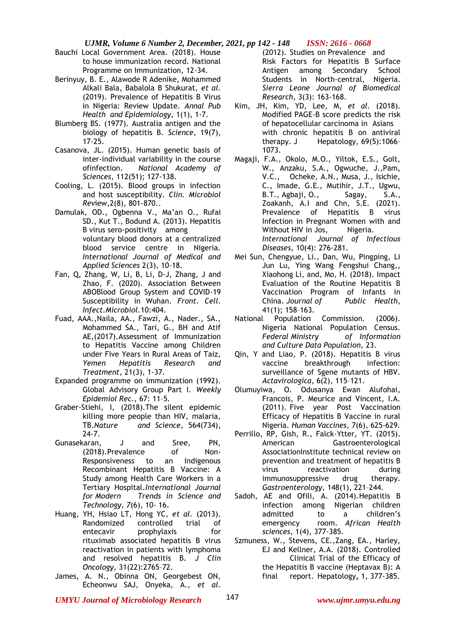- Bauchi Local Government Area. (2018). House to house immunization record. National Programme on Immunization, 12-34.
- Berinyuy, B. E., Alawode R Adenike, Mohammed Alkali Bala, Babalola B Shukurat, *et al.* (2019). Prevalence of Hepatitis B Virus in Nigeria: Review Update. *Annal Pub Health and Epidemiology,* 1(1), 1-7.
- Blumberg BS. (1977). Australia antigen and the biology of hepatitis B. *Science*, 19(7), 17-25.
- Casanova, JL. (2015). Human genetic basis of inter-individual variability in the course ofinfection. *National Academy of Sciences,* 112(51); 127-138.
- Cooling, L. (2015). Blood groups in infection and host susceptibility. *Clin. Microbiol Rev*iew,2(8), 801-870..
- Damulak, OD., Ogbenna V., Ma'an O., Rufai SD., Kut T., Bodund A. (2013). Hepatitis B virus sero-positivity among voluntary blood donors at a centralized blood service centre in Nigeria. *International Journal of Medical and Applied Sciences* 2(3), 10-18.
- Fan, Q, Zhang, W, Li, B, Li, D-J, Zhang, J and Zhao, F. (2020). Association Between ABOBlood Group System and COVID-19 Susceptibility in Wuhan. *Front. Cell. Infect.Microbiol.*10:404.
- Fuad, AAA.,Naila, AA., Fawzi, A., Nader., SA., Mohammed SA., Tari, G., BH and Atif AE,(2017).Assessment of Immunization to Hepatitis Vaccine among Children under Five Years in Rural Areas of Taiz, *Yemen Hepatitis Research and Treatment*, 21(3), 1-37.
- Expanded programme on immunization (1992). Global Advisory Group Part I. *Weekly Epidemiol Rec.,* 67: 11–5.
- Graber-Stiehi, I, (2018).The silent epidemic killing more people than HIV, malaria, TB.*Nature and Science*, 564(734), 24-7.
- Gunasekaran, J and Sree, PN, (2018).Prevalence of Non-Responsiveness to an Indigenous Recombinant Hepatitis B Vaccine: A Study among Health Care Workers in a Tertiary Hospital.*International Journal for Modern Trends in Science and Technology, 7*(6), 10- 16.
- Huang, YH, Hsiao LT, Hong YC*, et al.* (2013). Randomized controlled trial of entecavir prophylaxis for rituximab associated hepatitis B virus reactivation in patients with lymphoma and resolved hepatitis B. *J Clin Oncology,* 31(22):2765–72.
- James, A. N., Obinna ON, Georgebest ON, Echeonwu SAJ, Onyeka, A., *et al.*

(2012). Studies on Prevalence and Risk Factors for Hepatitis B Surface Antigen among Secondary School Students in North-central, Nigeria. *Sierra Leone Journal of Biomedical Research,* 3(3): 163-168.

- Kim, JH, Kim, YD, Lee, M, *et al.* (2018). Modified PAGE-B score predicts the risk of hepatocellular carcinoma in Asians with chronic hepatitis B on antiviral therapy. J Hepatology, 69(5):1066-1073.
- Magaji, F.A., Okolo, M.O., Yiltok, E.S., Golt, W., Anzaku, S.A., Ogwuche, J.,Pam, V.C., Ocheke, A.N., Musa, J., Isichie, C., Imade, G.E., Mutihir, J.T., Ugwu, B.T., Agbaji, O., Sagay, S.A., Zoakanh, A.I and Chn, S.E. (2021). Prevalence of Hepatitis B virus Infection in Pregnant Women with and Without HIV in Jos, Nigeria. *International Journal of Infectious Diseases,* 10(4): 276-281.
- Mei Sun, Chengyue, Li., Dan, Wu, Pingping, Li Jun Lu, Ying Wang Fengshui Chang,, Xiaohong Li, and, Mo, H. (2018). Impact Evaluation of the Routine Hepatitis B Vaccination Program of Infants in China. *Journal of Public Health*, 41(1); 158–163.
- National Population Commission. (2006). Nigeria National Population Census. *Federal Ministry of Information and Culture Data Population,* 23.
- Qin, Y and Liao, P. (2018). Hepatitis B virus vaccine breakthrough infection: surveillance of Sgene mutants of HBV. *Actavirologica*, 6(2), 115–121.
- Olumuyiwa, O. Odusanya Ewan Alufohai, Francois, P. Meurice and Vincent, I.A. (2011). Five year Post Vaccination Efficacy of Hepatitis B Vaccine in rural Nigeria. *Human Vaccines,* 7(6), 625-629.
- Perrillo, RP, Gish, R., Falck-Ytter, YT. (2015). American Gastroenterological AssociationInstitute technical review on prevention and treatment of hepatitis B virus reactivation during immunosuppressive drug therapy. *Gastroenterology,* 148(1), 221–244.
- Sadoh, AE and Ofili, A. (2014).Hepatitis B infection among Nigerian children admitted to a children's emergency room. *African Health sciences*, 1(4), 377-385.
- Szmuness, W., Stevens, CE.,Zang, EA., Harley, EJ and Kellner, A.A. (2018). Controlled Clinical Trial of the Efficacy of the Hepatitis B vaccine (Heptavax B): A final report. Hepatology**,** 1, 377-385.